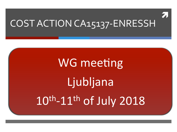

# COST ACTION CA15137-ENRESSH

# **WG meeting** Ljubljana 10th-11th of July 2018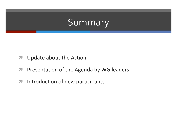#### Summary

- Update about the Action  $\overline{\phantom{a}}$
- Presentation of the Agenda by WG leaders  $\overline{\mathcal{A}}$
- Introduction of new participants  $\overline{\mathbf{z}}$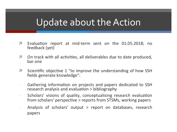- $\overline{\phantom{a}}$ Evaluation report at mid-term sent on the 01.05.2018; no feedback (yet)
- $\overline{\phantom{a}}$ On track with all activities, all deliverables due to date produced, bar one
- Scientific objective 1 "to improve the understanding of how SSH  $\overline{\phantom{a}}$ fields generate knowledge":
- Gathering information on projects and papers dedicated to SSH research analysis and evaluation > bibliography
- Scholars' visions of quality, conceptualising research evaluation from scholars' perspective > reports from STSMs, working papers
- Analysis of scholars' output > report on databases, research papers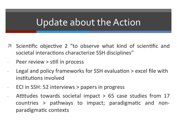- Scientific objective 2 "to observe what kind of scientific and societal interactions characterize SSH disciplines"
- Peer review > still in process
- Legal and policy frameworks for SSH evaluation > excel file with institutions involved
- ECI in SSH: 52 interviews > papers in progress
- Attitudes towards societal impact  $>$  65 case studies from 17 countries > pathways to impact; paradigmatic and nonparadigmatic contexts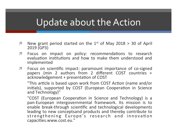- $\blacktriangledown$  New grant period started on the 1<sup>st</sup> of May 2018 > 30 of April 2019 (GP3)
- **7** Focus on impact on policy: recommendations to research evaluation institutions and how to make them understood and implemented
- **7** Focus on scientific impact: paramount importance of co-signed papers (min 2 authors from 2 different COST countries + acknowledgement + presentation of COST

"This article is based upon work from COST Action (name and/or initials), supported by COST (European Cooperation in Science and Technology)"

"COST (European Cooperation in Science and Technology) is a pan-European intergovernmental framework. Its mission is to enable break-through scientific and technological developments leading to new conceptsand products and thereby contribute to strengthening Europe's research and innovation capacities.www.cost.eu."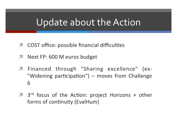- COST office: possible financial difficulties  $\overline{\phantom{a}}$
- Next FP: 600 M euros budget 7
- Financed through "Sharing excellence" (ex- $\overline{\phantom{a}}$ "Widening participation") - moves from Challenge 6
- **7** 3<sup>rd</sup> focus of the Action: project Horizons + other forms of continuity (EvalHum)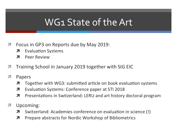#### WG1 State of the Art

- Focus in GP3 on Reports due by May 2019: 7
	- **Evaluation Systems** 7
	- **Peer Review** 7
- Training School in January 2019 together with SIG EIC 71
- 7 Papers
	- Together with WG3: submitted article on book evaluation systems 7
	- Evaluation Systems: Conference paper at STI 2018 7
	- Л. Presentations in Switzerland: LERU and art history doctoral program
- Upcoming: 7
	- Switzerland: Academies conference on evaluation in science (!) Л.
	- Prepare abstracts for Nordic Workshop of Bibliometrics 7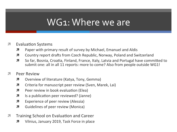#### WG1: Where we are

#### Evaluation Systems

- $\lambda$  Paper with primary result of survey by Michael, Emanuel and Aldis
- **7** Country report drafts from Czech Republic, Norway, Poland and Switzerland
- $\lambda$  So far, Bosnia, Croatia, Finland, France, Italy, Latvia and Portugal have committed to submit one: all in all 11 reports: more to come? Also from people outside WG1!
- **7** Peer Review
	- **7** Overview of literature (Katya, Tony, Gemma)
	- $\lambda$  Criteria for manuscript peer review (Sven, Marek, Lai)
	- $\lambda$  Peer review in book evaluation (Elea)
	- $\lambda$  Is a publication peer reviewed? (Janne)
	- $\lambda$  Experience of peer review (Alessia)
	- **7** Guidelines of peer review (Monica)
- **7** Training School on Evaluation and Career
	- 7 Vilnius, January 2019, Task Force in place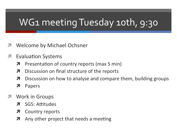# WG1 meeting Tuesday 10th, 9:30

- **Welcome by Michael Ochsner**
- **Evaluation Systems** 
	- Presentation of country reports (max 5 min) 7
	- Discussion on final structure of the reports 7
	- Discussion on how to analyse and compare them, building groups 7
	- Papers 7
- **Work in Groups** 
	- SG5: Attitudes 71
	- **Country reports** 7
	- Any other project that needs a meeting 7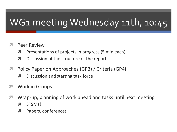# WG1 meeting Wednesday 11th, 10:45

- **Peer Review**  $\mathcal{F}_{\mathbb{C}}$ 
	- Presentations of projects in progress (5 min each) 7
	- Discussion of the structure of the report Я
- Policy Paper on Approaches (GP3) / Criteria (GP4)  $\overline{\phantom{a}}$ 
	- Discussion and starting task force 7
- **Work in Groups**
- Wrap-up, planning of work ahead and tasks until next meeting 71
	- STSM<sub>s</sub>! 7
	- Papers, conferences 7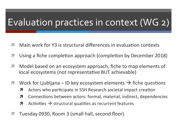### Evaluation practices in context (WG 2)

- Main work for Y3 is structural differences in evaluation contexts
- Using a fiche completion approach (completion by December 2018) 7
- Model based on an ecosystem approach, fiche to map elements of 71 local ecosystems (not representative BUT achievable)
- Work for Ljubljana ID key ecosystem elements  $\rightarrow$  fiche questions  $\overline{\phantom{a}}$ 
	- Actors who participate in SSH Research societal impact creation 7
	- $\overline{\mathbf{z}}$ Connections between actors: formal, material, indirect, dependencies
	- Activities  $\rightarrow$  structural qualities as recurrent features 7
- Tuesday 0930, Room 3 (small hall, second floor)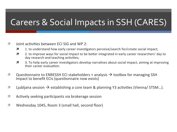#### Careers & Social Impacts in SSH (CARES)

- $\overline{\mathbf{z}}$ Joint activities between ECI SIG and WP 2:
	- 1. to understand how early career investigators perceive/search for/create social impact; Я
	- 2. to improve ways for social impact to be better integrated in early career researchers' day to 7 dav research and teaching activities;
	- $\overline{\mathbf{z}}$ 3. To help early career investigators develop narratives about social impact, aiming at improving their career evaluation.
- $\overline{\phantom{a}}$ Questionnaire to ENRESSH ECI stakeholders + analysis  $\rightarrow$  toolbox for managing SSH Impact to benefit ECIs (questionnaire now exists)
- $\overline{\phantom{a}}$ Liubliana session  $\rightarrow$  establishing a core team & planning Y3 activities (Vienna/ STSM...).
- Actively seeking participants via brokerage session 7
- Wednesday 1045, Room 3 (small hall, second floor) 7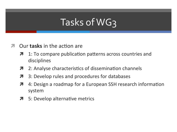# Tasks of WG3

- Our **tasks** in the action are
	- 1: To compare publication patterns across countries and 7 disciplines
	- 2: Analyse characteristics of dissemination channels 7
	- 3: Develop rules and procedures for databases 7
	- 4: Design a roadmap for a European SSH research information  $\overline{\mathbf{z}}$ system
	- 5: Develop alternative metrics  $\overline{\phantom{a}}$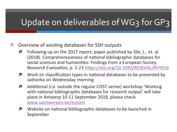#### Update on deliverables of WG3 for GP3

- *A* Overview of existing databases for SSH outputs
	- $\blacktriangledown$  Following up on the 2017 report, paper published by Sile, L., et. al. (2018). Comprehensiveness of national bibliographic databases for social sciences and humanities: Findings from a European Survey. *Research Evaluation, p. 1-13 https://doi.org/10.1093/RESEVAL/RVY016*
	- $\lambda$  Work on classification types in national databases to be presented by Jadranka on Wednesday morning
	- **7** Additional (i.e. outside the regular COST-series) workshop 'Working with national bibliographic databases for research output' will take place in Antwerp 10-11 September 2018, please check www.uantwerpen.be/ecoom
	- $\lambda$  Website on national bibliographic databases to be launched in September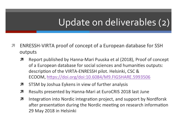# Update on deliverables (2)

- ENRESSH-VIRTA proof of concept of a European database for SSH 7 outputs
	- Report published by Hanna-Mari Puuska et al (2018), Proof of concept 7 of a European database for social sciences and humanities outputs: description of the VIRTA-ENRESSH pilot. Helsinki, CSC & ECOOM, https://doi.org/doi:10.6084/M9.FIGSHARE.5993506
	- STSM by Joshua Eykens in view of further analysis 7
	- Results presented by Hanna-Mari at EuroCRIS 2018 last June 7
	- Integration into Nordic integration project, and support by Nordforsk 7 after presentation during the Nordic meeting on research information 29 May 2018 in Helsinki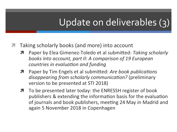# Update on deliverables (3)

- Taking scholarly books (and more) into account
	- Paper by Elea Gimenez-Toledo et al submitted: Taking scholarly books into account, part *II:* A comparison of 19 European *countries in evaluation and funding*
	- Paper by Tim Engels et al submitted: Are book publications *disappearing from scholarly communication?* (preliminary version to be presented at STI 2018)
	- **7** To be presented later today: the ENRESSH register of book publishers & extending the information basis for the evaluation of journals and book publishers, meeting 24 May in Madrid and again 5 November 2018 in Copenhagen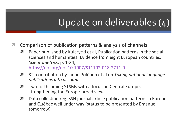# Update on deliverables (4)

- Comparison of publication patterns & analysis of channels 7
	- Paper published by Kulczycki et al, Publication patterns in the social 7 sciences and humanities: Evidence from eight European countries. Scientometrics, p. 1-24, https://doi.org/doi:10.1007/S11192-018-2711-0
	- STI-contribution by Janne Pölönen et al on Taking national language 7 publications into account
	- Two forthcoming STSMs with a focus on Central Europe, 7 strengthening the Europe-broad view
	- Data collection reg. SSH journal article publication patterns in Europe 7 and Québec well under way (status to be presented by Emanuel tomorrow)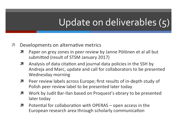# Update on deliverables (5)

#### Developments on alternative metrics 7

- Paper on grey zones in peer review by Janne Pölönen et al all but 7 submitted (result of STSM January 2017)
- Analysis of data citation and journal data policies in the SSH by 7 Andreja and Marc, update and call for collaborators to be presented **Wednesday morning**
- Peer review labels across Europe; first results of in-depth study of 7 Polish peer review label to be presented later today
- Work by Judit Bar-Ilan based on Proquest's ebrary to be presented 7 later today
- Potential for collaboration with OPERAS open access in the 7 European research area through scholarly communication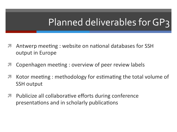# Planned deliverables for GP3

- Antwerp meeting: website on national databases for SSH output in Europe
- Copenhagen meeting : overview of peer review labels
- Kotor meeting: methodology for estimating the total volume of 7 **SSH output**
- Publicize all collaborative efforts during conference 7 presentations and in scholarly publications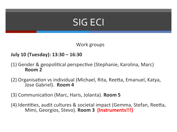# **SIG ECI**

Work groups

#### **July 10 (Tuesday): 13:30 – 16:30**

- (1) Gender & geopolitical perspective (Stephanie, Karolina, Marc) **Room 2**
- (2) Organisation vs individual (Michael, Rita, Reetta, Emanuel, Katya, Jose Gabriel). Room 4
- (3) Communication (Marc, Haris, Jolanta). **Room 5**
- (4) Identities, audit cultures & societal impact (Gemma, Stefan, Reetta, Mimi, Georgios, Stevo). **Room 3 (Instruments!!!)**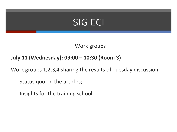### SIG ECI

Work groups

#### July 11 (Wednesday): 09:00 - 10:30 (Room 3)

Work groups 1,2,3,4 sharing the results of Tuesday discussion

- Status quo on the articles;
- Insights for the training school.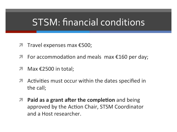#### **STSM: financial conditions**

- Travel expenses max €500; 7
- For accommodation and meals max  $£160$  per day; 71
- Max €2500 in total; 7
- A Activities must occur within the dates specified in the call;
- Paid as a grant after the completion and being  $\overline{\phantom{a}}$ approved by the Action Chair, STSM Coordinator and a Host researcher.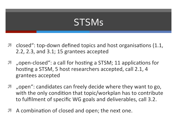### **STSMs**

- closed": top-down defined topics and host organisations (1.1,  $2.2$ ,  $2.3$ , and  $3.1$ ; 15 grantees accepted
- "open-closed": a call for hosting a STSM; 11 applications for 7 hosting a STSM, 5 host researchers accepted, call 2.1, 4 grantees accepted
- "open": candidates can freely decide where they want to go, 7 with the only condition that topic/workplan has to contribute to fulfilment of specific WG goals and deliverables, call 3.2.
- A combination of closed and open; the next one.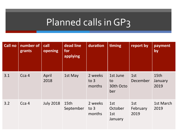# Planned calls in GP3

| <b>Call no</b> | number of<br>grants | call<br>opening  | dead line<br>for<br>applying | duration                    | timing                             | report by               | payment<br>by           |
|----------------|---------------------|------------------|------------------------------|-----------------------------|------------------------------------|-------------------------|-------------------------|
| 3.1            | Cca 4               | April<br>2018    | 1st May                      | 2 weeks<br>to $3$<br>months | 1st June<br>to<br>30th Octo<br>ber | 1st<br>December         | 15th<br>January<br>2019 |
| 3.2            | Cca 4               | <b>July 2018</b> | 15th<br>September            | 2 weeks<br>to $3$<br>months | 1st<br>October<br>1st<br>January   | 1st<br>February<br>2019 | 1st March<br>2019       |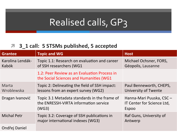### Realised calls, GP3

#### ì **3\_1 call: 5 STSMs published, 5 accepted**

| <b>Grantee</b>            | <b>Topic and WG</b>                                                                            | <b>Host</b>                                                     |  |
|---------------------------|------------------------------------------------------------------------------------------------|-----------------------------------------------------------------|--|
| Karolina Lendák-<br>Kabók | Topic 1.1: Research on evaluation and career<br>of SSH researchers (WG1                        | Michael Ochsner, FORS,<br>Géopolis, Lausanne                    |  |
|                           | 1.2: Peer Review as an Evaluation Process in<br>the Social Sciences and Humanities (WG1        |                                                                 |  |
| Marta<br>Wroblewska       | Topic 2: Delineating the field of SSH impact:<br>lessons from an expert survey (WG2)           | Paul Benneworth, CHEPS,<br><b>University of Twente</b>          |  |
| Dragan Ivanović           | Topic 3.1 Metadata standards in the frame of<br>the ENRESSH-VIRTA information service<br>(WG3) | Hanna-Mari Puuska, CSC -<br>IT Center for Science Ltd,<br>Espoo |  |
| <b>Michal Petr</b>        | Topic 3.2: Coverage of SSH publications in<br>major international indexes (WG3)                | Raf Guns, University of<br>Antwerp                              |  |
| Ondřej Daniel             |                                                                                                |                                                                 |  |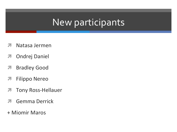#### New participants

- Natasa Jermen
- Ondrej Daniel
- Bradley Good
- Filippo Nereo
- Tony Ross-Hellauer
- Gemma Derrick
- + Miomir Maros